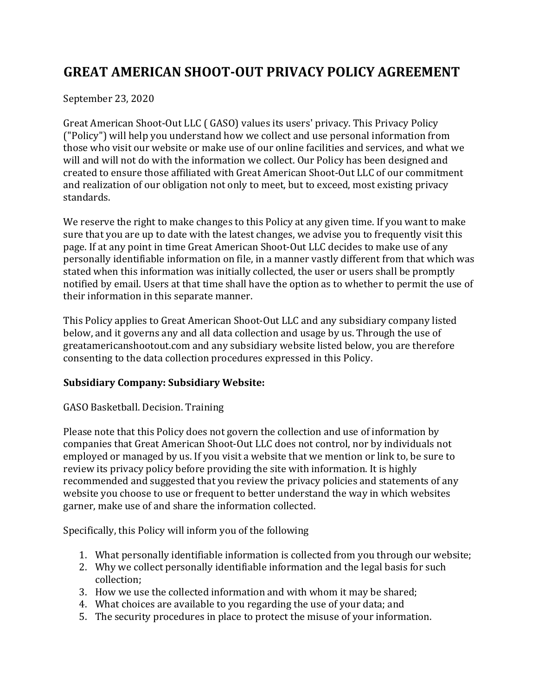# **GREAT AMERICAN SHOOT-OUT PRIVACY POLICY AGREEMENT**

September 23, 2020

Great American Shoot-Out LLC ( GASO) values its users' privacy. This Privacy Policy ("Policy") will help you understand how we collect and use personal information from those who visit our website or make use of our online facilities and services, and what we will and will not do with the information we collect. Our Policy has been designed and created to ensure those affiliated with Great American Shoot-Out LLC of our commitment and realization of our obligation not only to meet, but to exceed, most existing privacy standards. 

We reserve the right to make changes to this Policy at any given time. If you want to make sure that you are up to date with the latest changes, we advise you to frequently visit this page. If at any point in time Great American Shoot-Out LLC decides to make use of any personally identifiable information on file, in a manner vastly different from that which was stated when this information was initially collected, the user or users shall be promptly notified by email. Users at that time shall have the option as to whether to permit the use of their information in this separate manner.

This Policy applies to Great American Shoot-Out LLC and any subsidiary company listed below, and it governs any and all data collection and usage by us. Through the use of greatamericanshootout.com and any subsidiary website listed below, you are therefore consenting to the data collection procedures expressed in this Policy.

# **Subsidiary Company: Subsidiary Website:**

#### GASO Basketball. Decision. Training

Please note that this Policy does not govern the collection and use of information by companies that Great American Shoot-Out LLC does not control, nor by individuals not employed or managed by us. If you visit a website that we mention or link to, be sure to review its privacy policy before providing the site with information. It is highly recommended and suggested that you review the privacy policies and statements of any website you choose to use or frequent to better understand the way in which websites garner, make use of and share the information collected.

Specifically, this Policy will inform you of the following

- 1. What personally identifiable information is collected from you through our website;
- 2. Why we collect personally identifiable information and the legal basis for such collection;
- 3. How we use the collected information and with whom it may be shared;
- 4. What choices are available to you regarding the use of your data; and
- 5. The security procedures in place to protect the misuse of your information.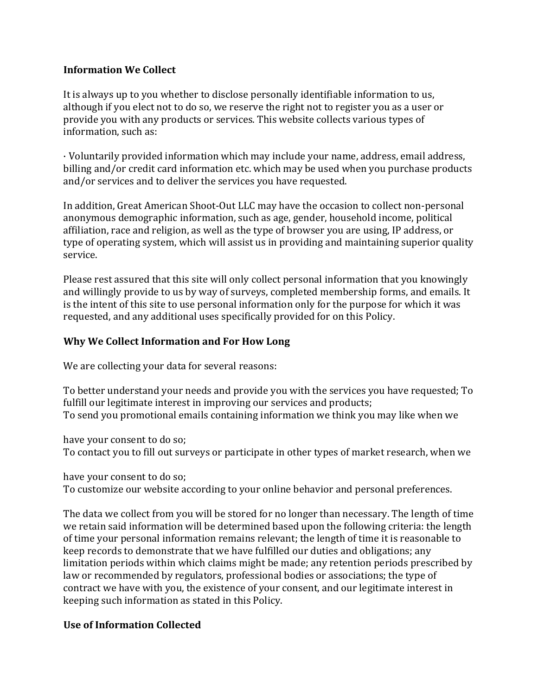## **Information We Collect**

It is always up to you whether to disclose personally identifiable information to us, although if you elect not to do so, we reserve the right not to register you as a user or provide you with any products or services. This website collects various types of information, such as:

· Voluntarily provided information which may include your name, address, email address, billing and/or credit card information etc. which may be used when you purchase products and/or services and to deliver the services you have requested.

In addition, Great American Shoot-Out LLC may have the occasion to collect non-personal anonymous demographic information, such as age, gender, household income, political affiliation, race and religion, as well as the type of browser you are using, IP address, or type of operating system, which will assist us in providing and maintaining superior quality service. 

Please rest assured that this site will only collect personal information that you knowingly and willingly provide to us by way of surveys, completed membership forms, and emails. It is the intent of this site to use personal information only for the purpose for which it was requested, and any additional uses specifically provided for on this Policy.

## **Why We Collect Information and For How Long**

We are collecting your data for several reasons:

To better understand your needs and provide you with the services you have requested; To fulfill our legitimate interest in improving our services and products; To send you promotional emails containing information we think you may like when we

have your consent to do so;

To contact you to fill out surveys or participate in other types of market research, when we

have your consent to do so;

To customize our website according to your online behavior and personal preferences.

The data we collect from you will be stored for no longer than necessary. The length of time we retain said information will be determined based upon the following criteria: the length of time your personal information remains relevant; the length of time it is reasonable to keep records to demonstrate that we have fulfilled our duties and obligations; any limitation periods within which claims might be made; any retention periods prescribed by law or recommended by regulators, professional bodies or associations; the type of contract we have with you, the existence of your consent, and our legitimate interest in keeping such information as stated in this Policy.

#### **Use of Information Collected**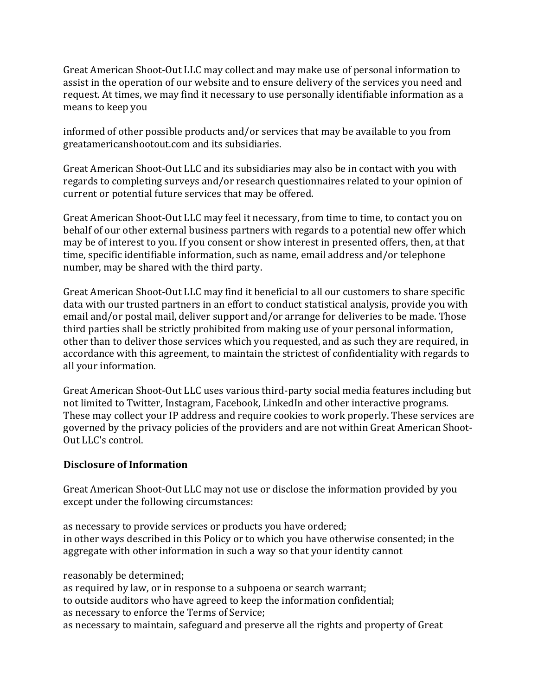Great American Shoot-Out LLC may collect and may make use of personal information to assist in the operation of our website and to ensure delivery of the services you need and request. At times, we may find it necessary to use personally identifiable information as a means to keep you

informed of other possible products and/or services that may be available to you from greatamericanshootout.com and its subsidiaries.

Great American Shoot-Out LLC and its subsidiaries may also be in contact with you with regards to completing surveys and/or research questionnaires related to your opinion of current or potential future services that may be offered.

Great American Shoot-Out LLC may feel it necessary, from time to time, to contact you on behalf of our other external business partners with regards to a potential new offer which may be of interest to you. If you consent or show interest in presented offers, then, at that time, specific identifiable information, such as name, email address and/or telephone number, may be shared with the third party.

Great American Shoot-Out LLC may find it beneficial to all our customers to share specific data with our trusted partners in an effort to conduct statistical analysis, provide you with email and/or postal mail, deliver support and/or arrange for deliveries to be made. Those third parties shall be strictly prohibited from making use of your personal information, other than to deliver those services which you requested, and as such they are required, in accordance with this agreement, to maintain the strictest of confidentiality with regards to all your information.

Great American Shoot-Out LLC uses various third-party social media features including but not limited to Twitter, Instagram, Facebook, LinkedIn and other interactive programs. These may collect your IP address and require cookies to work properly. These services are governed by the privacy policies of the providers and are not within Great American Shoot-Out LLC's control.

#### **Disclosure of Information**

Great American Shoot-Out LLC may not use or disclose the information provided by you except under the following circumstances:

as necessary to provide services or products you have ordered; in other ways described in this Policy or to which you have otherwise consented; in the aggregate with other information in such a way so that your identity cannot

reasonably be determined;

as required by law, or in response to a subpoena or search warrant; to outside auditors who have agreed to keep the information confidential; as necessary to enforce the Terms of Service; as necessary to maintain, safeguard and preserve all the rights and property of Great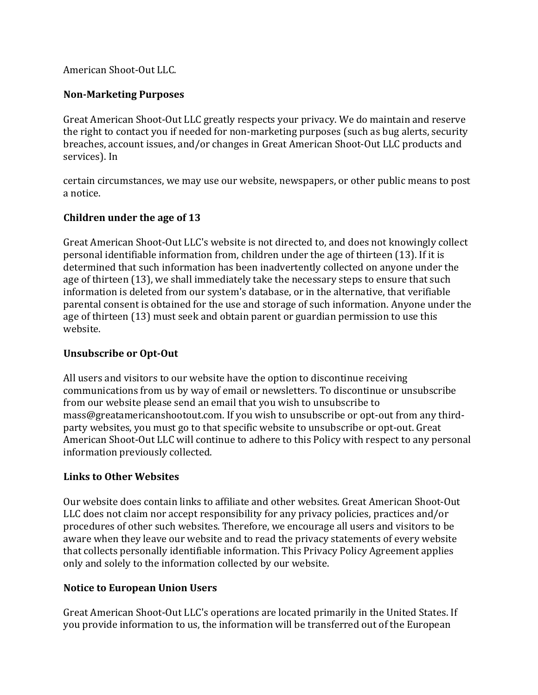## American Shoot-Out LLC.

#### **Non-Marketing Purposes**

Great American Shoot-Out LLC greatly respects your privacy. We do maintain and reserve the right to contact you if needed for non-marketing purposes (such as bug alerts, security breaches, account issues, and/or changes in Great American Shoot-Out LLC products and services). In

certain circumstances, we may use our website, newspapers, or other public means to post a notice. 

## **Children under the age of 13**

Great American Shoot-Out LLC's website is not directed to, and does not knowingly collect personal identifiable information from, children under the age of thirteen (13). If it is determined that such information has been inadvertently collected on anyone under the age of thirteen (13), we shall immediately take the necessary steps to ensure that such information is deleted from our system's database, or in the alternative, that verifiable parental consent is obtained for the use and storage of such information. Anyone under the age of thirteen (13) must seek and obtain parent or guardian permission to use this website. 

#### **Unsubscribe or Opt-Out**

All users and visitors to our website have the option to discontinue receiving communications from us by way of email or newsletters. To discontinue or unsubscribe from our website please send an email that you wish to unsubscribe to mass@greatamericanshootout.com. If you wish to unsubscribe or opt-out from any thirdparty websites, you must go to that specific website to unsubscribe or opt-out. Great American Shoot-Out LLC will continue to adhere to this Policy with respect to any personal information previously collected.

#### **Links to Other Websites**

Our website does contain links to affiliate and other websites. Great American Shoot-Out LLC does not claim nor accept responsibility for any privacy policies, practices and/or procedures of other such websites. Therefore, we encourage all users and visitors to be aware when they leave our website and to read the privacy statements of every website that collects personally identifiable information. This Privacy Policy Agreement applies only and solely to the information collected by our website.

# **Notice to European Union Users**

Great American Shoot-Out LLC's operations are located primarily in the United States. If you provide information to us, the information will be transferred out of the European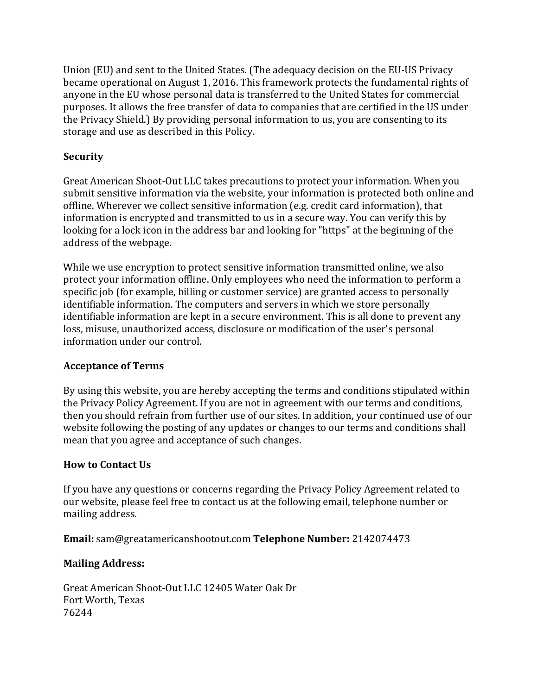Union (EU) and sent to the United States. (The adequacy decision on the EU-US Privacy became operational on August 1, 2016. This framework protects the fundamental rights of anyone in the EU whose personal data is transferred to the United States for commercial purposes. It allows the free transfer of data to companies that are certified in the US under the Privacy Shield.) By providing personal information to us, you are consenting to its storage and use as described in this Policy.

# **Security**

Great American Shoot-Out LLC takes precautions to protect your information. When you submit sensitive information via the website, your information is protected both online and offline. Wherever we collect sensitive information (e.g. credit card information), that information is encrypted and transmitted to us in a secure way. You can verify this by looking for a lock icon in the address bar and looking for "https" at the beginning of the address of the webpage.

While we use encryption to protect sensitive information transmitted online, we also protect your information offline. Only employees who need the information to perform a specific job (for example, billing or customer service) are granted access to personally identifiable information. The computers and servers in which we store personally identifiable information are kept in a secure environment. This is all done to prevent any loss, misuse, unauthorized access, disclosure or modification of the user's personal information under our control.

#### **Acceptance of Terms**

By using this website, you are hereby accepting the terms and conditions stipulated within the Privacy Policy Agreement. If you are not in agreement with our terms and conditions, then you should refrain from further use of our sites. In addition, your continued use of our website following the posting of any updates or changes to our terms and conditions shall mean that you agree and acceptance of such changes.

#### **How to Contact Us**

If you have any questions or concerns regarding the Privacy Policy Agreement related to our website, please feel free to contact us at the following email, telephone number or mailing address.

**Email:** sam@greatamericanshootout.com Telephone Number: 2142074473

# **Mailing Address:**

Great American Shoot-Out LLC 12405 Water Oak Dr Fort Worth, Texas 76244